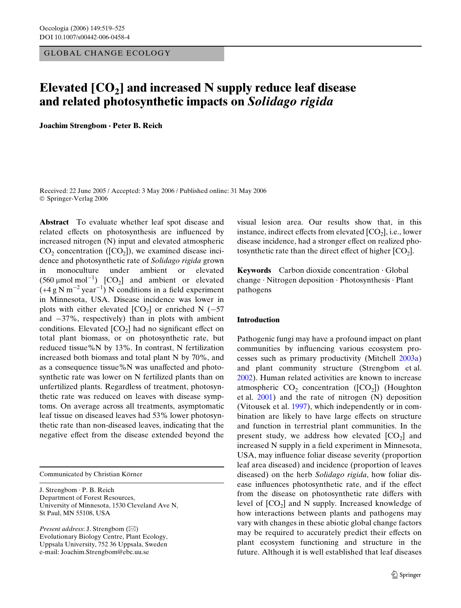GLOBAL CHANGE ECOLOGY

# Elevated [CO<sub>2</sub>] and increased N supply reduce leaf disease **and related photosynthetic impacts on** *Solidago rigida*

**Joachim Strengbom · Peter B. Reich** 

Received: 22 June 2005 / Accepted: 3 May 2006 / Published online: 31 May 2006 © Springer-Verlag 2006

**Abstract** To evaluate whether leaf spot disease and related effects on photosynthesis are influenced by increased nitrogen (N) input and elevated atmospheric  $CO<sub>2</sub>$  concentration ([CO<sub>2</sub>]), we examined disease incidence and photosynthetic rate of *Solidago rigida* grown in monoculture under ambient or elevated  $(560 \text{ }\mu\text{mol }\text{mol}^{-1})$   $[CO_2]$  and ambient or elevated  $(+4 \text{ g N m}^{-2} \text{ year}^{-1})$  N conditions in a field experiment in Minnesota, USA. Disease incidence was lower in plots with either elevated  $[CO_2]$  or enriched N (-57) and  $-37\%$ , respectively) than in plots with ambient conditions. Elevated  $[CO_2]$  had no significant effect on total plant biomass, or on photosynthetic rate, but reduced tissue%N by 13%. In contrast, N fertilization increased both biomass and total plant N by 70%, and as a consequence tissue%N was unaffected and photosynthetic rate was lower on N fertilized plants than on unfertilized plants. Regardless of treatment, photosynthetic rate was reduced on leaves with disease symptoms. On average across all treatments, asymptomatic leaf tissue on diseased leaves had 53% lower photosynthetic rate than non-diseased leaves, indicating that the negative effect from the disease extended beyond the

Communicated by Christian Körner

J. Strengbom · P. B. Reich Department of Forest Resources, University of Minnesota, 1530 Cleveland Ave N, St Paul, MN 55108, USA

*Present address*: J. Strengbom (&) Evolutionary Biology Centre, Plant Ecology, Uppsala University, 752 36 Uppsala, Sweden e-mail: Joachim.Strengbom@ebc.uu.se

visual lesion area. Our results show that, in this instance, indirect effects from elevated  $[CO_2]$ , i.e., lower disease incidence, had a stronger effect on realized photo synthetic rate than the direct effect of higher  $[CO<sub>2</sub>]$ .

**Keywords** Carbon dioxide concentration · Global change · Nitrogen deposition · Photosynthesis · Plant pathogens

## **Introduction**

Pathogenic fungi may have a profound impact on plant communities by influencing various ecosystem processes such as primary productivity (Mitchell [2003a](#page-6-0)) and plant community structure (Strengbom et al. [2002](#page-6-1)). Human related activities are known to increase atmospheric  $CO_2$  concentration ([ $CO_2$ ]) (Houghton et al. [2001](#page-6-2)) and the rate of nitrogen (N) deposition (Vitousek et al. [1997](#page-6-3)), which independently or in combination are likely to have large effects on structure and function in terrestrial plant communities. In the present study, we address how elevated  $[CO<sub>2</sub>]$  and increased N supply in a field experiment in Minnesota, USA, may influence foliar disease severity (proportion leaf area diseased) and incidence (proportion of leaves diseased) on the herb *Solidago rigida*, how foliar disease influences photosynthetic rate, and if the effect from the disease on photosynthetic rate differs with level of  $[CO<sub>2</sub>]$  and N supply. Increased knowledge of how interactions between plants and pathogens may vary with changes in these abiotic global change factors may be required to accurately predict their effects on plant ecosystem functioning and structure in the future. Although it is well established that leaf diseases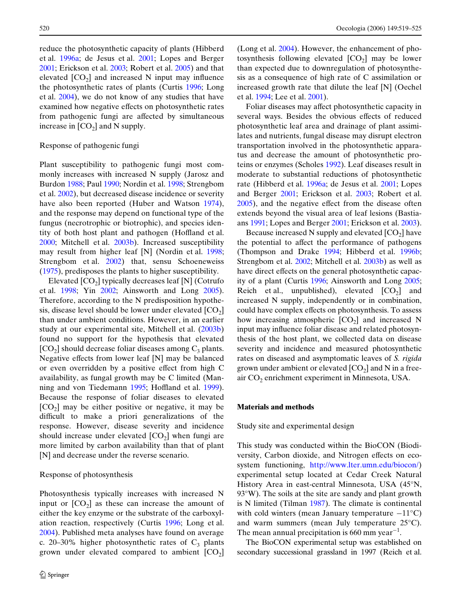reduce the photosynthetic capacity of plants (Hibberd et al. [1996a](#page-6-4); de Jesus et al. [2001;](#page-6-5) Lopes and Berger [2001](#page-6-6); Erickson et al. [2003](#page-6-7); Robert et al. [2005\)](#page-6-8) and that elevated  $[CO_2]$  and increased N input may influence the photosynthetic rates of plants (Curtis [1996;](#page-6-9) Long et al. [2004\)](#page-6-10), we do not know of any studies that have examined how negative effects on photosynthetic rates from pathogenic fungi are affected by simultaneous increase in  $[CO<sub>2</sub>]$  and N supply.

## Response of pathogenic fungi

Plant susceptibility to pathogenic fungi most commonly increases with increased N supply (Jarosz and Burdon [1988;](#page-6-11) Paul [1990;](#page-6-12) Nordin et al. [1998](#page-6-13); Strengbom et al. [2002\)](#page-6-1), but decreased disease incidence or severity have also been reported (Huber and Watson [1974\)](#page-6-14), and the response may depend on functional type of the fungus (necrotrophic or biotrophic), and species identity of both host plant and pathogen (Hoffland et al. [2000](#page-6-15); Mitchell et al. [2003b\)](#page-6-16). Increased susceptibility may result from higher leaf [N] (Nordin et al. [1998;](#page-6-13) Strengbom et al. [2002\)](#page-6-1) that, sensu Schoeneweiss ([1975\)](#page-6-17), predisposes the plants to higher susceptibility.

Elevated  $[CO<sub>2</sub>]$  typically decreases leaf  $[N]$  (Cotrufo et al. [1998;](#page-6-18) Yin [2002;](#page-6-19) Ainsworth and Long [2005\)](#page-6-20). Therefore, according to the N predisposition hypothesis, disease level should be lower under elevated  $[CO<sub>2</sub>]$ than under ambient conditions. However, in an earlier study at our experimental site, Mitchell et al. ([2003b](#page-6-16)) found no support for the hypothesis that elevated  $[CO<sub>2</sub>]$  should decrease foliar diseases among  $C<sub>3</sub>$  plants. Negative effects from lower leaf  $[N]$  may be balanced or even overridden by a positive effect from high C availability, as fungal growth may be C limited (Man-ning and von Tiedemann [1995](#page-6-21); Hoffland et al. [1999\)](#page-6-22). Because the response of foliar diseases to elevated  $[CO<sub>2</sub>]$  may be either positive or negative, it may be difficult to make a priori generalizations of the response. However, disease severity and incidence should increase under elevated  $[CO<sub>2</sub>]$  when fungi are more limited by carbon availability than that of plant [N] and decrease under the reverse scenario.

# Response of photosynthesis

Photosynthesis typically increases with increased N input or  $[CO_2]$  as these can increase the amount of either the key enzyme or the substrate of the carboxylation reaction, respectively (Curtis [1996](#page-6-9); Long et al. [2004](#page-6-10)). Published meta analyses have found on average c. 20–30% higher photosynthetic rates of  $C_3$  plants grown under elevated compared to ambient  $[CO<sub>2</sub>]$  (Long et al. [2004\)](#page-6-10). However, the enhancement of photosynthesis following elevated  $[CO<sub>2</sub>]$  may be lower than expected due to downregulation of photosynthesis as a consequence of high rate of C assimilation or increased growth rate that dilute the leaf [N] (Oechel et al. [1994;](#page-6-23) Lee et al. [2001](#page-6-24)).

Foliar diseases may affect photosynthetic capacity in several ways. Besides the obvious effects of reduced photosynthetic leaf area and drainage of plant assimilates and nutrients, fungal disease may disrupt electron transportation involved in the photosynthetic apparatus and decrease the amount of photosynthetic proteins or enzymes (Scholes [1992](#page-6-25)). Leaf diseases result in moderate to substantial reductions of photosynthetic rate (Hibberd et al. [1996a;](#page-6-4) de Jesus et al. [2001;](#page-6-5) Lopes and Berger [2001](#page-6-6); Erickson et al. [2003;](#page-6-7) Robert et al.  $2005$ ), and the negative effect from the disease often extends beyond the visual area of leaf lesions (Bastiaans [1991](#page-6-26); Lopes and Berger [2001](#page-6-6); Erickson et al. [2003\)](#page-6-7).

Because increased N supply and elevated  $[CO<sub>2</sub>]$  have the potential to affect the performance of pathogens (Thompson and Drake [1994](#page-6-27); Hibberd et al. [1996b;](#page-6-28) Strengbom et al. [2002;](#page-6-1) Mitchell et al. [2003b](#page-6-16)) as well as have direct effects on the general photosynthetic capacity of a plant (Curtis [1996;](#page-6-9) Ainsworth and Long [2005;](#page-6-20) Reich et al., unpublished), elevated  $[CO<sub>2</sub>]$  and increased N supply, independently or in combination, could have complex effects on photosynthesis. To assess how increasing atmospheric  $[CO_2]$  and increased N input may influence foliar disease and related photosynthesis of the host plant, we collected data on disease severity and incidence and measured photosynthetic rates on diseased and asymptomatic leaves of *S. rigida* grown under ambient or elevated  $[CO<sub>2</sub>]$  and N in a freeair CO<sub>2</sub> enrichment experiment in Minnesota, USA.

#### **Materials and methods**

Study site and experimental design

This study was conducted within the BioCON (Biodiversity, Carbon dioxide, and Nitrogen eff[ects on eco](http://www.lter.umn.edu/biocon/)[system functioning, h](http://www.lter.umn.edu/biocon/)ttp://www.lter.umn.edu/biocon/) experimental setup located at Cedar Creek Natural History Area in east-central Minnesota, USA (45°N, 93°W). The soils at the site are sandy and plant growth is N limited (Tilman [1987\)](#page-6-29). The climate is continental with cold winters (mean January temperature  $-11^{\circ}$ C) and warm summers (mean July temperature 25°C). The mean annual precipitation is 660 mm year<sup>-1</sup>.

The BioCON experimental setup was established on secondary successional grassland in 1997 (Reich et al.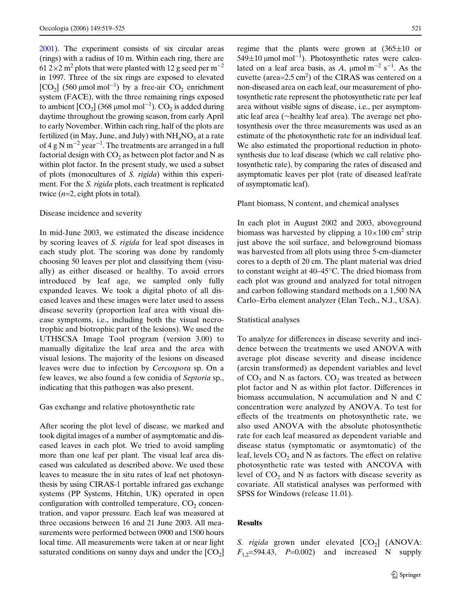[2001](#page-6-30)). The experiment consists of six circular areas (rings) with a radius of 10 m. Within each ring, there are 61 2×2 m<sup>2</sup> plots that were planted with 12 g seed per m<sup>-2</sup> in 1997. Three of the six rings are exposed to elevated [CO<sub>2</sub>] (560  $\mu$ mol mol<sup>-1</sup>) by a free-air CO<sub>2</sub> enrichment system (FACE), with the three remaining rings exposed to ambient  $\text{[CO}_2\text{]}$  (368 µmol mol<sup>-1</sup>).  $\text{CO}_2$  is added during daytime throughout the growing season, from early April to early November. Within each ring, half of the plots are fertilized (in May, June, and July) with  $NH<sub>4</sub>NO<sub>3</sub>$  at a rate of 4 g N m<sup>-2</sup> year<sup>-1</sup>. The treatments are arranged in a full factorial design with  $CO<sub>2</sub>$  as between plot factor and N as within plot factor. In the present study, we used a subset of plots (monocultures of *S. rigida*) within this experiment. For the *S. rigida* plots, each treatment is replicated twice (*n*=2, eight plots in total).

# Disease incidence and severity

In mid-June 2003, we estimated the disease incidence by scoring leaves of *S. rigida* for leaf spot diseases in each study plot. The scoring was done by randomly choosing 50 leaves per plot and classifying them (visually) as either diseased or healthy. To avoid errors introduced by leaf age, we sampled only fully expanded leaves. We took a digital photo of all diseased leaves and these images were later used to assess disease severity (proportion leaf area with visual disease symptoms, i.e., including both the visual necrotrophic and biotrophic part of the lesions). We used the UTHSCSA Image Tool program (version 3.00) to manually digitalize the leaf area and the area with visual lesions. The majority of the lesions on diseased leaves were due to infection by *Cercospora* sp. On a few leaves, we also found a few conidia of *Septoria* sp., indicating that this pathogen was also present.

Gas exchange and relative photosynthetic rate

After scoring the plot level of disease, we marked and took digital images of a number of asymptomatic and diseased leaves in each plot. We tried to avoid sampling more than one leaf per plant. The visual leaf area diseased was calculated as described above. We used these leaves to measure the in situ rates of leaf net photosynthesis by using CIRAS-1 portable infrared gas exchange systems (PP Systems, Hitchin, UK) operated in open configuration with controlled temperature,  $CO<sub>2</sub>$  concentration, and vapor pressure. Each leaf was measured at three occasions between 16 and 21 June 2003. All measurements were performed between 0900 and 1500 hours local time. All measurements were taken at or near light saturated conditions on sunny days and under the  $[CO<sub>2</sub>]$  regime that the plants were grown at  $(365\pm10)$  or  $549\pm10$  µmol mol<sup>-1</sup>). Photosynthetic rates were calculated on a leaf area basis, as A,  $\mu$ mol m<sup>-2</sup> s<sup>-1</sup>. As the cuvette (area= $2.5 \text{ cm}^2$ ) of the CIRAS was centered on a non-diseased area on each leaf, our measurement of photosynthetic rate represent the photosynthetic rate per leaf area without visible signs of disease, i.e., per asymptomatic leaf area ( $\sim$ healthy leaf area). The average net photosynthesis over the three measurements was used as an estimate of the photosynthetic rate for an individual leaf. We also estimated the proportional reduction in photosynthesis due to leaf disease (which we call relative photosynthetic rate), by comparing the rates of diseased and asymptomatic leaves per plot (rate of diseased leaf/rate of asymptomatic leaf).

#### Plant biomass, N content, and chemical analyses

In each plot in August 2002 and 2003, aboveground biomass was harvested by clipping a  $10\times100$  cm<sup>2</sup> strip just above the soil surface, and belowground biomass was harvested from all plots using three 5-cm-diameter cores to a depth of 20 cm. The plant material was dried to constant weight at 40–45°C. The dried biomass from each plot was ground and analyzed for total nitrogen and carbon following standard methods on a 1,500 NA Carlo–Erba element analyzer (Elan Tech., N.J., USA).

#### Statistical analyses

To analyze for differences in disease severity and incidence between the treatments we used ANOVA with average plot disease severity and disease incidence (arcsin transformed) as dependent variables and level of  $CO<sub>2</sub>$  and N as factors.  $CO<sub>2</sub>$  was treated as between plot factor and  $N$  as within plot factor. Differences in biomass accumulation, N accumulation and N and C concentration were analyzed by ANOVA. To test for effects of the treatments on photosynthetic rate, we also used ANOVA with the absolute photosynthetic rate for each leaf measured as dependent variable and disease status (symptomatic or asymtomatic) of the leaf, levels  $CO<sub>2</sub>$  and N as factors. The effect on relative photosynthetic rate was tested with ANCOVA with level of  $CO<sub>2</sub>$  and N as factors with disease severity as covariate. All statistical analyses was performed with SPSS for Windows (release 11.01).

## **Results**

*S. rigida* grown under elevated [CO<sub>2</sub>] (ANOVA:  $F_{1,2}$ =594.43, *P*=0.002) and increased N supply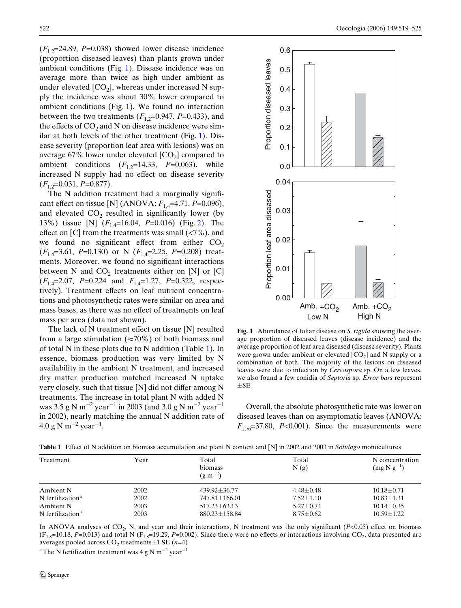$(F<sub>1.2</sub>=24.89, P=0.038)$  showed lower disease incidence (proportion diseased leaves) than plants grown under ambient conditions (Fig. [1](#page-3-0)). Disease incidence was on average more than twice as high under ambient as under elevated  $[CO_2]$ , whereas under increased N supply the incidence was about 30% lower compared to ambient conditions (Fig. [1\)](#page-3-0). We found no interaction between the two treatments  $(F_{1,2}=0.947, P=0.433)$ , and the effects of  $CO<sub>2</sub>$  and N on disease incidence were similar at both levels of the other treatment (Fig. [1](#page-3-0)). Disease severity (proportion leaf area with lesions) was on average 67% lower under elevated  $[CO_2]$  compared to ambient conditions  $(F_{1,2}=14.33, P=0.063)$ , while increased N supply had no effect on disease severity  $(F_1,2=0.031, P=0.877).$ 

The  $N$  addition treatment had a marginally significant effect on tissue [N] (ANOVA:  $F_{1,4}$ =4.71, *P*=0.096), and elevated  $CO<sub>2</sub>$  resulted in significantly lower (by 13%) tissue [N] (*F*1,4=16.04, *P*=0.016) (Fig. [2\)](#page-4-0). The effect on [C] from the treatments was small  $(\langle 7\%$ ), and we found no significant effect from either  $CO<sub>2</sub>$ (*F*1,4=3.61, *P*=0.130) or N (*F*1,4=2.25, *P*=0.208) treatments. Moreover, we found no significant interactions between N and  $CO_2$  treatments either on [N] or [C] (*F*1,4=2.07, *P*=0.224 and *F*1,4=1.27, *P*=0.322, respectively). Treatment effects on leaf nutrient concentrations and photosynthetic rates were similar on area and mass bases, as there was no effect of treatments on leaf mass per area (data not shown).

The lack of N treatment effect on tissue  $[N]$  resulted from a large stimulation ( $\approx$ 70%) of both biomass and of total N in these plots due to N addition (Table [1\)](#page-3-1). In essence, biomass production was very limited by N availability in the ambient N treatment, and increased dry matter production matched increased N uptake very closely, such that tissue  $[N]$  did not differ among N treatments. The increase in total plant N with added N was 3.5 g N m $^{-2}$  year $^{-1}$  in 2003 (and 3.0 g N m $^{-2}$  year $^{-1}$ in 2002), nearly matching the annual N addition rate of  $4.0 \text{ g N m}^{-2} \text{ year}^{-1}$ .



<span id="page-3-0"></span>**Fig. 1** Abundance of foliar disease on *S. rigida* showing the average proportion of diseased leaves (disease incidence) and the average proportion of leaf area diseased (disease severity). Plants were grown under ambient or elevated  $[CO<sub>2</sub>]$  and N supply or a combination of both. The majority of the lesions on diseased leaves were due to infection by *Cercospora* sp. On a few leaves, we also found a few conidia of *Septoria* sp. *Error bars* represent  $\pm$ SE

Overall, the absolute photosynthetic rate was lower on diseased leaves than on asymptomatic leaves (ANOVA:  $F_{1,76}$ =37.80, *P*<0.001). Since the measurements were

| Treatment                      | Year | Total<br>biomass<br>$(g m^{-2})$ | Total<br>N(g)   | N concentration<br>$(mg N g^{-1})$ |
|--------------------------------|------|----------------------------------|-----------------|------------------------------------|
| Ambient N                      | 2002 | $439.92 \pm 36.77$               | $4.48 \pm 0.48$ | $10.18 \pm 0.71$                   |
| $N$ fertilization <sup>a</sup> | 2002 | $747.81 \pm 166.01$              | $7.52 \pm 1.10$ | $10.83 \pm 1.31$                   |
| Ambient N                      | 2003 | $517.23 \pm 63.13$               | $5.27 \pm 0.74$ | $10.14 \pm 0.35$                   |
| N fertilization <sup>a</sup>   | 2003 | $880.23 \pm 158.84$              | $8.75 \pm 0.62$ | $10.59 \pm 1.22$                   |

<span id="page-3-1"></span>**Table 1** Effect of N addition on biomass accumulation and plant N content and [N] in 2002 and 2003 in *Solidago* monocultures

In ANOVA analyses of  $CO_2$ , N, and year and their interactions, N treatment was the only significant ( $P<0.05$ ) effect on biomass  $(F_{1,8}=10.18, P=0.013)$  and total N  $(F_{1,8}=19.29, P=0.002)$ . Since there were no effects or interactions involving CO<sub>2</sub>, data presented are averages pooled across  $CO_2$  treatments $\pm 1$  SE (*n*=4)

<sup>a</sup> The N fertilization treatment was 4 g N m<sup>-2</sup> year<sup>-1</sup>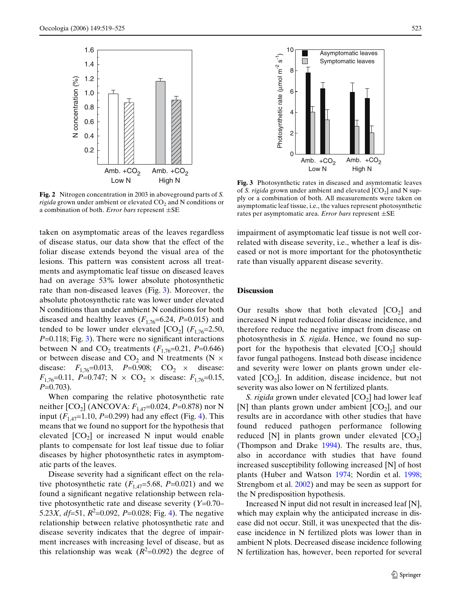

<span id="page-4-0"></span>**Fig. 2** Nitrogen concentration in 2003 in aboveground parts of *S. rigida* grown under ambient or elevated CO<sub>2</sub> and N conditions or a combination of both. *Error bars* represent  $\pm$ SE

taken on asymptomatic areas of the leaves regardless of disease status, our data show that the effect of the foliar disease extends beyond the visual area of the lesions. This pattern was consistent across all treatments and asymptomatic leaf tissue on diseased leaves had on average 53% lower absolute photosynthetic rate than non-diseased leaves (Fig. [3\)](#page-4-1). Moreover, the absolute photosynthetic rate was lower under elevated N conditions than under ambient N conditions for both diseased and healthy leaves  $(F_{1,76}=6.24, P=0.015)$  and tended to be lower under elevated  $[CO_2]$  ( $F_{1,76}=2.50$ ,  $P=0.118$ ; Fig. [3](#page-4-1)). There were no significant interactions between N and CO<sub>2</sub> treatments ( $F_{1,76}$ =0.21, P=0.646) or between disease and  $CO_2$  and N treatments (N  $\times$ disease:  $F_{1,76} = 0.013$ ,  $P = 0.908$ ; CO<sub>2</sub>  $\times$  disease:  $F_{1,76}$ =0.11, *P*=0.747; N × CO<sub>2</sub> × disease:  $F_{1,76}$ =0.15, *P*=0.703).

When comparing the relative photosynthetic rate neither  $[CO_2]$  (ANCOVA:  $F_{1,47}$ =0.024, *P*=0.878) nor N input  $(F_{1,47}=1.10, P=0.299)$  had any effect (Fig. [4\)](#page-5-0). This means that we found no support for the hypothesis that elevated  $[CO<sub>2</sub>]$  or increased N input would enable plants to compensate for lost leaf tissue due to foliar diseases by higher photosynthetic rates in asymptomatic parts of the leaves.

Disease severity had a significant effect on the relative photosynthetic rate  $(F_{1,47}=5.68, P=0.021)$  and we found a significant negative relationship between relative photosynthetic rate and disease severity (*Y*=0.70– 5.23*X*, *df*=51, *R*<sup>2</sup>=0.092, *P*=0.028; Fig. [4](#page-5-0)). The negative relationship between relative photosynthetic rate and disease severity indicates that the degree of impairment increases with increasing level of disease, but as this relationship was weak  $(R^2=0.092)$  the degree of



<span id="page-4-1"></span>**Fig. 3** Photosynthetic rates in diseased and asymtomatic leaves of *S. rigida* grown under ambient and elevated  $[CO<sub>2</sub>]$  and N supply or a combination of both. All measurements were taken on asymptomatic leaf tissue, i.e., the values represent photosynthetic

impairment of asymptomatic leaf tissue is not well correlated with disease severity, i.e., whether a leaf is diseased or not is more important for the photosynthetic rate than visually apparent disease severity.

# **Discussion**

Our results show that both elevated  $[CO<sub>2</sub>]$  and increased N input reduced foliar disease incidence, and therefore reduce the negative impact from disease on photosynthesis in *S. rigida*. Hence, we found no support for the hypothesis that elevated  $[CO<sub>2</sub>]$  should favor fungal pathogens. Instead both disease incidence and severity were lower on plants grown under elevated  $[CO<sub>2</sub>]$ . In addition, disease incidence, but not severity was also lower on N fertilized plants.

*S. rigida* grown under elevated [CO<sub>2</sub>] had lower leaf [N] than plants grown under ambient  $[CO_2]$ , and our results are in accordance with other studies that have found reduced pathogen performance following reduced [N] in plants grown under elevated  $[CO<sub>2</sub>]$ (Thompson and Drake [1994](#page-6-27)). The results are, thus, also in accordance with studies that have found increased susceptibility following increased [N] of host plants (Huber and Watson [1974;](#page-6-14) Nordin et al. [1998;](#page-6-13) Strengbom et al. [2002\)](#page-6-1) and may be seen as support for the N predisposition hypothesis.

Increased N input did not result in increased leaf [N], which may explain why the anticipated increase in disease did not occur. Still, it was unexpected that the disease incidence in N fertilized plots was lower than in ambient N plots. Decreased disease incidence following N fertilization has, however, been reported for several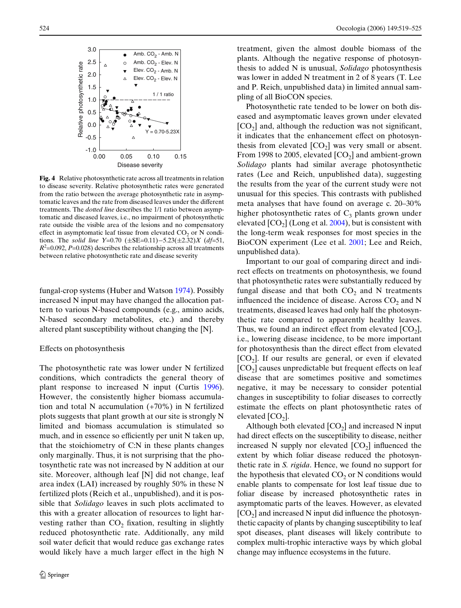

<span id="page-5-0"></span>**Fig. 4** Relative photosynthetic rate across all treatments in relation to disease severity. Relative photosynthetic rates were generated from the ratio between the average photosynthetic rate in asymptomatic leaves and the rate from diseased leaves under the different treatments. The *dotted line* describes the 1/1 ratio between asymptomatic and diseased leaves, i.e., no impairment of photosynthetic rate outside the visible area of the lesions and no compensatory effect in asymptomatic leaf tissue from elevated  $CO<sub>2</sub>$  or N conditions. The *solid line*  $Y=0.70$  ( $\pm$ SE=0.11) $-5.23(\pm2.32)X$  (*df*=51,  $R^2$ =0.092, *P*=0.028) describes the relationship across all treatments between relative photosynthetic rate and disease severity

fungal-crop systems (Huber and Watson [1974\)](#page-6-14). Possibly increased N input may have changed the allocation pattern to various N-based compounds (e.g., amino acids, N-based secondary metabolites, etc.) and thereby altered plant susceptibility without changing the [N].

## Effects on photosynthesis

The photosynthetic rate was lower under N fertilized conditions, which contradicts the general theory of plant response to increased N input (Curtis [1996\)](#page-6-9). However, the consistently higher biomass accumulation and total N accumulation (+70%) in N fertilized plots suggests that plant growth at our site is strongly N limited and biomass accumulation is stimulated so much, and in essence so efficiently per unit N taken up, that the stoichiometry of C:N in these plants changes only marginally. Thus, it is not surprising that the photosynthetic rate was not increased by N addition at our site. Moreover, although leaf [N] did not change, leaf area index (LAI) increased by roughly 50% in these N fertilized plots (Reich et al., unpublished), and it is possible that *Solidago* leaves in such plots acclimated to this with a greater allocation of resources to light harvesting rather than  $CO<sub>2</sub>$  fixation, resulting in slightly reduced photosynthetic rate. Additionally, any mild soil water deficit that would reduce gas exchange rates would likely have a much larger effect in the high N treatment, given the almost double biomass of the plants. Although the negative response of photosynthesis to added N is unusual, *Solidago* photosynthesis was lower in added N treatment in 2 of 8 years (T. Lee and P. Reich, unpublished data) in limited annual sampling of all BioCON species.

Photosynthetic rate tended to be lower on both diseased and asymptomatic leaves grown under elevated  $[CO<sub>2</sub>]$  and, although the reduction was not significant, it indicates that the enhancement effect on photosynthesis from elevated  $[CO_2]$  was very small or absent. From 1998 to 2005, elevated  $[CO_2]$  and ambient-grown *Solidago* plants had similar average photosynthetic rates (Lee and Reich, unpublished data), suggesting the results from the year of the current study were not unusual for this species. This contrasts with published meta analyses that have found on average c. 20–30% higher photosynthetic rates of  $C_3$  plants grown under elevated  $[CO<sub>2</sub>]$  (Long et al. [2004](#page-6-10)), but is consistent with the long-term weak responses for most species in the BioCON experiment (Lee et al. [2001](#page-6-24); Lee and Reich, unpublished data).

Important to our goal of comparing direct and indirect effects on treatments on photosynthesis, we found that photosynthetic rates were substantially reduced by fungal disease and that both  $CO<sub>2</sub>$  and N treatments influenced the incidence of disease. Across  $CO<sub>2</sub>$  and N treatments, diseased leaves had only half the photosynthetic rate compared to apparently healthy leaves. Thus, we found an indirect effect from elevated  $[CO<sub>2</sub>]$ , i.e., lowering disease incidence, to be more important for photosynthesis than the direct effect from elevated  $[CO<sub>2</sub>]$ . If our results are general, or even if elevated  $[CO<sub>2</sub>]$  causes unpredictable but frequent effects on leaf disease that are sometimes positive and sometimes negative, it may be necessary to consider potential changes in susceptibility to foliar diseases to correctly estimate the effects on plant photosynthetic rates of elevated  $[CO<sub>2</sub>]$ .

Although both elevated  $[CO<sub>2</sub>]$  and increased N input had direct effects on the susceptibility to disease, neither increased N supply nor elevated  $[CO_2]$  influenced the extent by which foliar disease reduced the photosynthetic rate in *S. rigida*. Hence, we found no support for the hypothesis that elevated  $CO<sub>2</sub>$  or N conditions would enable plants to compensate for lost leaf tissue due to foliar disease by increased photosynthetic rates in asymptomatic parts of the leaves. However, as elevated  $[CO<sub>2</sub>]$  and increased N input did influence the photosynthetic capacity of plants by changing susceptibility to leaf spot diseases, plant diseases will likely contribute to complex multi-trophic interactive ways by which global change may influence ecosystems in the future.